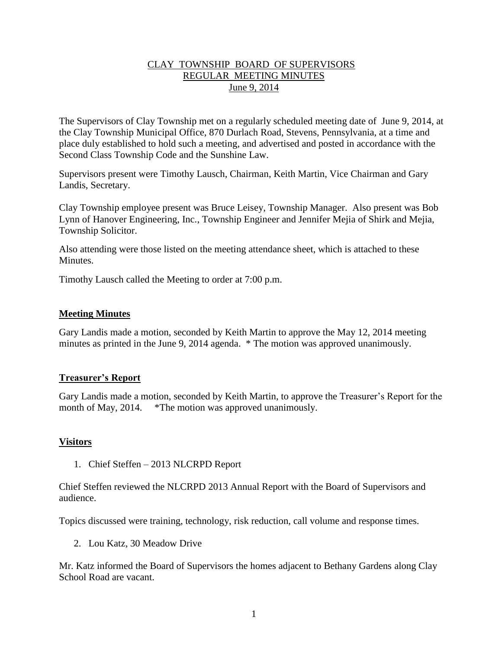## CLAY TOWNSHIP BOARD OF SUPERVISORS REGULAR MEETING MINUTES June 9, 2014

The Supervisors of Clay Township met on a regularly scheduled meeting date of June 9, 2014, at the Clay Township Municipal Office, 870 Durlach Road, Stevens, Pennsylvania, at a time and place duly established to hold such a meeting, and advertised and posted in accordance with the Second Class Township Code and the Sunshine Law.

Supervisors present were Timothy Lausch, Chairman, Keith Martin, Vice Chairman and Gary Landis, Secretary.

Clay Township employee present was Bruce Leisey, Township Manager. Also present was Bob Lynn of Hanover Engineering, Inc., Township Engineer and Jennifer Mejia of Shirk and Mejia, Township Solicitor.

Also attending were those listed on the meeting attendance sheet, which is attached to these **Minutes** 

Timothy Lausch called the Meeting to order at 7:00 p.m.

## **Meeting Minutes**

Gary Landis made a motion, seconded by Keith Martin to approve the May 12, 2014 meeting minutes as printed in the June 9, 2014 agenda. \* The motion was approved unanimously.

## **Treasurer's Report**

Gary Landis made a motion, seconded by Keith Martin, to approve the Treasurer's Report for the month of May, 2014. \*The motion was approved unanimously.

## **Visitors**

1. Chief Steffen – 2013 NLCRPD Report

Chief Steffen reviewed the NLCRPD 2013 Annual Report with the Board of Supervisors and audience.

Topics discussed were training, technology, risk reduction, call volume and response times.

2. Lou Katz, 30 Meadow Drive

Mr. Katz informed the Board of Supervisors the homes adjacent to Bethany Gardens along Clay School Road are vacant.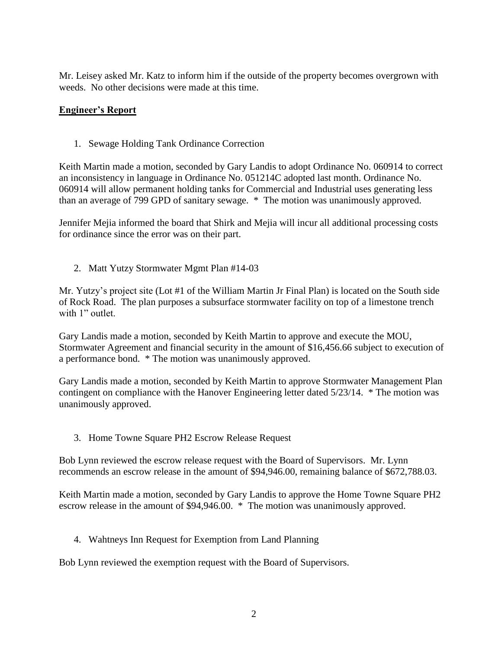Mr. Leisey asked Mr. Katz to inform him if the outside of the property becomes overgrown with weeds. No other decisions were made at this time.

## **Engineer's Report**

1. Sewage Holding Tank Ordinance Correction

Keith Martin made a motion, seconded by Gary Landis to adopt Ordinance No. 060914 to correct an inconsistency in language in Ordinance No. 051214C adopted last month. Ordinance No. 060914 will allow permanent holding tanks for Commercial and Industrial uses generating less than an average of 799 GPD of sanitary sewage. \* The motion was unanimously approved.

Jennifer Mejia informed the board that Shirk and Mejia will incur all additional processing costs for ordinance since the error was on their part.

2. Matt Yutzy Stormwater Mgmt Plan #14-03

Mr. Yutzy's project site (Lot #1 of the William Martin Jr Final Plan) is located on the South side of Rock Road. The plan purposes a subsurface stormwater facility on top of a limestone trench with 1" outlet.

Gary Landis made a motion, seconded by Keith Martin to approve and execute the MOU, Stormwater Agreement and financial security in the amount of \$16,456.66 subject to execution of a performance bond. \* The motion was unanimously approved.

Gary Landis made a motion, seconded by Keith Martin to approve Stormwater Management Plan contingent on compliance with the Hanover Engineering letter dated 5/23/14. \* The motion was unanimously approved.

3. Home Towne Square PH2 Escrow Release Request

Bob Lynn reviewed the escrow release request with the Board of Supervisors. Mr. Lynn recommends an escrow release in the amount of \$94,946.00, remaining balance of \$672,788.03.

Keith Martin made a motion, seconded by Gary Landis to approve the Home Towne Square PH2 escrow release in the amount of \$94,946.00. \* The motion was unanimously approved.

4. Wahtneys Inn Request for Exemption from Land Planning

Bob Lynn reviewed the exemption request with the Board of Supervisors.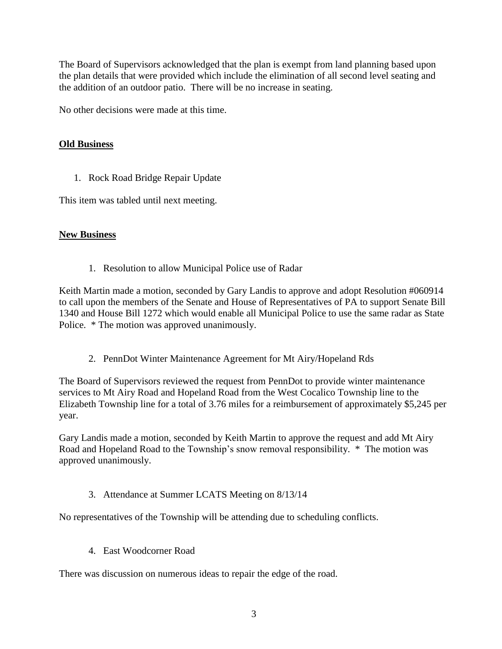The Board of Supervisors acknowledged that the plan is exempt from land planning based upon the plan details that were provided which include the elimination of all second level seating and the addition of an outdoor patio. There will be no increase in seating.

No other decisions were made at this time.

# **Old Business**

1. Rock Road Bridge Repair Update

This item was tabled until next meeting.

# **New Business**

1. Resolution to allow Municipal Police use of Radar

Keith Martin made a motion, seconded by Gary Landis to approve and adopt Resolution #060914 to call upon the members of the Senate and House of Representatives of PA to support Senate Bill 1340 and House Bill 1272 which would enable all Municipal Police to use the same radar as State Police. \* The motion was approved unanimously.

2. PennDot Winter Maintenance Agreement for Mt Airy/Hopeland Rds

The Board of Supervisors reviewed the request from PennDot to provide winter maintenance services to Mt Airy Road and Hopeland Road from the West Cocalico Township line to the Elizabeth Township line for a total of 3.76 miles for a reimbursement of approximately \$5,245 per year.

Gary Landis made a motion, seconded by Keith Martin to approve the request and add Mt Airy Road and Hopeland Road to the Township's snow removal responsibility. \* The motion was approved unanimously.

# 3. Attendance at Summer LCATS Meeting on 8/13/14

No representatives of the Township will be attending due to scheduling conflicts.

4. East Woodcorner Road

There was discussion on numerous ideas to repair the edge of the road.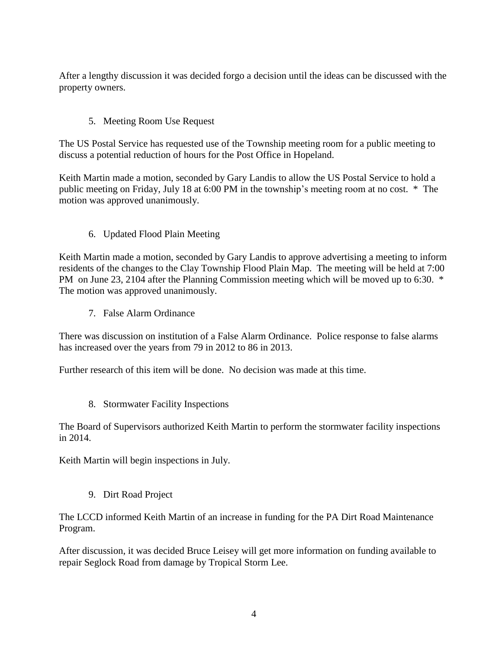After a lengthy discussion it was decided forgo a decision until the ideas can be discussed with the property owners.

# 5. Meeting Room Use Request

The US Postal Service has requested use of the Township meeting room for a public meeting to discuss a potential reduction of hours for the Post Office in Hopeland.

Keith Martin made a motion, seconded by Gary Landis to allow the US Postal Service to hold a public meeting on Friday, July 18 at 6:00 PM in the township's meeting room at no cost. \* The motion was approved unanimously.

# 6. Updated Flood Plain Meeting

Keith Martin made a motion, seconded by Gary Landis to approve advertising a meeting to inform residents of the changes to the Clay Township Flood Plain Map. The meeting will be held at 7:00 PM on June 23, 2104 after the Planning Commission meeting which will be moved up to 6:30. \* The motion was approved unanimously.

7. False Alarm Ordinance

There was discussion on institution of a False Alarm Ordinance. Police response to false alarms has increased over the years from 79 in 2012 to 86 in 2013.

Further research of this item will be done. No decision was made at this time.

8. Stormwater Facility Inspections

The Board of Supervisors authorized Keith Martin to perform the stormwater facility inspections in 2014.

Keith Martin will begin inspections in July.

9. Dirt Road Project

The LCCD informed Keith Martin of an increase in funding for the PA Dirt Road Maintenance Program.

After discussion, it was decided Bruce Leisey will get more information on funding available to repair Seglock Road from damage by Tropical Storm Lee.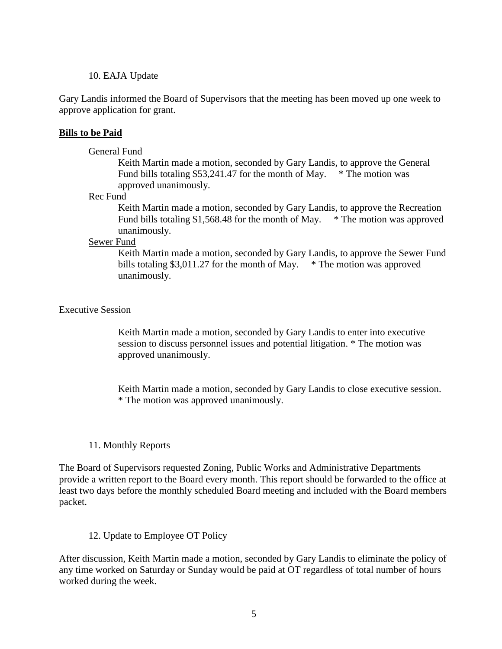#### 10. EAJA Update

Gary Landis informed the Board of Supervisors that the meeting has been moved up one week to approve application for grant.

#### **Bills to be Paid**

#### General Fund

Keith Martin made a motion, seconded by Gary Landis, to approve the General Fund bills totaling \$53,241.47 for the month of May.  $*$  The motion was approved unanimously.

#### Rec Fund

Keith Martin made a motion, seconded by Gary Landis, to approve the Recreation Fund bills totaling \$1,568.48 for the month of May. \* The motion was approved unanimously.

#### Sewer Fund

Keith Martin made a motion, seconded by Gary Landis, to approve the Sewer Fund bills totaling \$3,011.27 for the month of May.  $*$  The motion was approved unanimously.

#### Executive Session

Keith Martin made a motion, seconded by Gary Landis to enter into executive session to discuss personnel issues and potential litigation. \* The motion was approved unanimously.

Keith Martin made a motion, seconded by Gary Landis to close executive session. \* The motion was approved unanimously.

## 11. Monthly Reports

The Board of Supervisors requested Zoning, Public Works and Administrative Departments provide a written report to the Board every month. This report should be forwarded to the office at least two days before the monthly scheduled Board meeting and included with the Board members packet.

## 12. Update to Employee OT Policy

After discussion, Keith Martin made a motion, seconded by Gary Landis to eliminate the policy of any time worked on Saturday or Sunday would be paid at OT regardless of total number of hours worked during the week.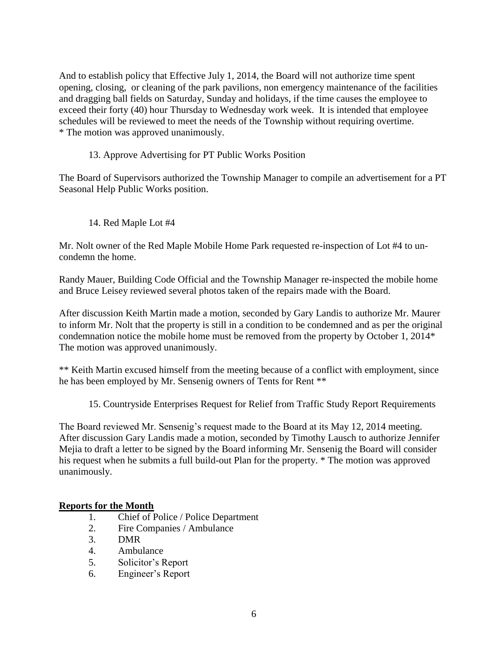And to establish policy that Effective July 1, 2014, the Board will not authorize time spent opening, closing, or cleaning of the park pavilions, non emergency maintenance of the facilities and dragging ball fields on Saturday, Sunday and holidays, if the time causes the employee to exceed their forty (40) hour Thursday to Wednesday work week. It is intended that employee schedules will be reviewed to meet the needs of the Township without requiring overtime. \* The motion was approved unanimously.

13. Approve Advertising for PT Public Works Position

The Board of Supervisors authorized the Township Manager to compile an advertisement for a PT Seasonal Help Public Works position.

14. Red Maple Lot #4

Mr. Nolt owner of the Red Maple Mobile Home Park requested re-inspection of Lot #4 to uncondemn the home.

Randy Mauer, Building Code Official and the Township Manager re-inspected the mobile home and Bruce Leisey reviewed several photos taken of the repairs made with the Board.

After discussion Keith Martin made a motion, seconded by Gary Landis to authorize Mr. Maurer to inform Mr. Nolt that the property is still in a condition to be condemned and as per the original condemnation notice the mobile home must be removed from the property by October 1, 2014\* The motion was approved unanimously.

\*\* Keith Martin excused himself from the meeting because of a conflict with employment, since he has been employed by Mr. Sensenig owners of Tents for Rent \*\*

15. Countryside Enterprises Request for Relief from Traffic Study Report Requirements

The Board reviewed Mr. Sensenig's request made to the Board at its May 12, 2014 meeting. After discussion Gary Landis made a motion, seconded by Timothy Lausch to authorize Jennifer Mejia to draft a letter to be signed by the Board informing Mr. Sensenig the Board will consider his request when he submits a full build-out Plan for the property. \* The motion was approved unanimously.

# **Reports for the Month**

- 1. Chief of Police / Police Department
- 2. Fire Companies / Ambulance
- 3. DMR
- 4. Ambulance
- 5. Solicitor's Report
- 6. Engineer's Report